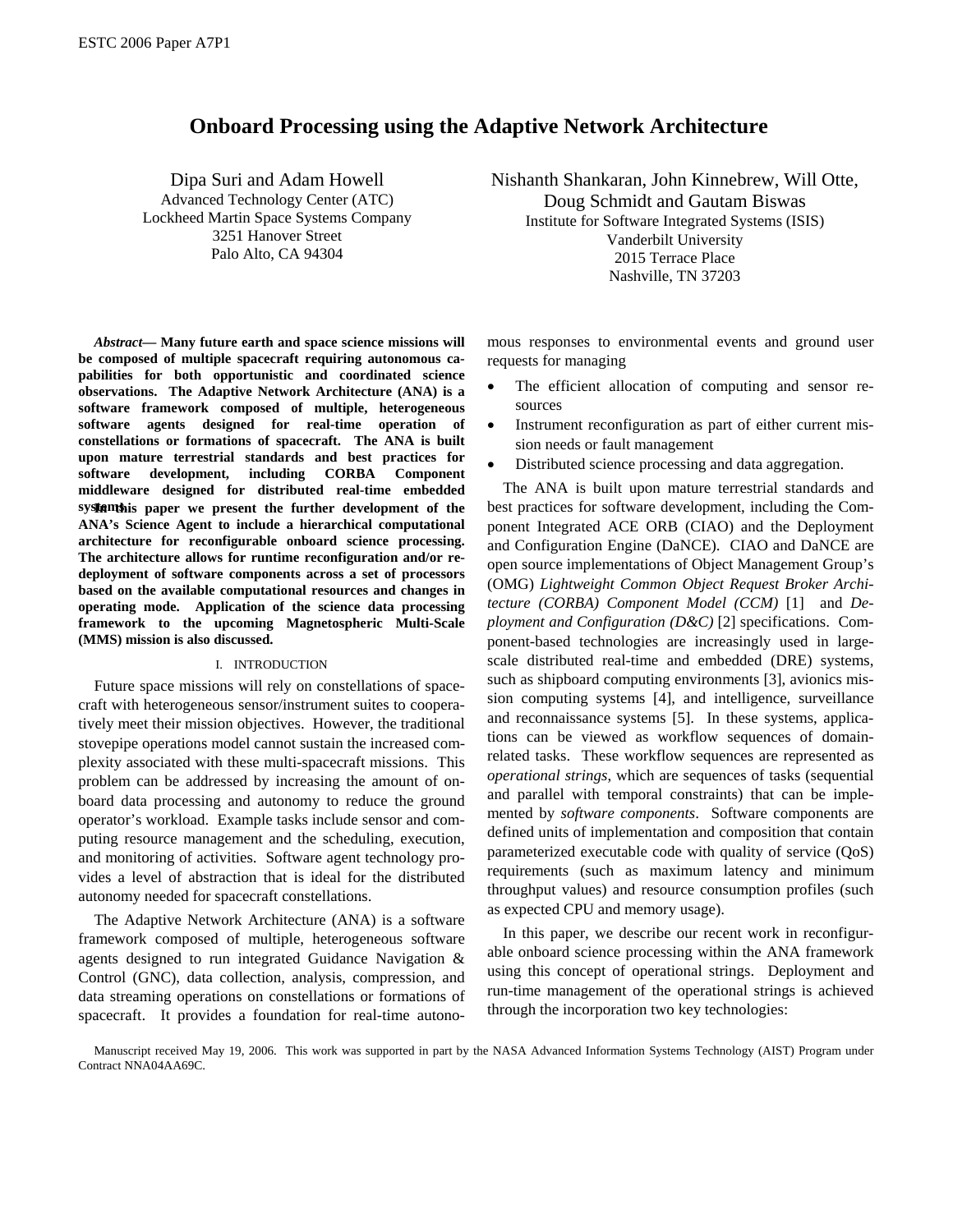# **Onboard Processing using the Adaptive Network Architecture**

Dipa Suri and Adam Howell Advanced Technology Center (ATC) Lockheed Martin Space Systems Company 3251 Hanover Street Palo Alto, CA 94304

Nishanth Shankaran, John Kinnebrew, Will Otte, Doug Schmidt and Gautam Biswas Institute for Software Integrated Systems (ISIS) Vanderbilt University 2015 Terrace Place Nashville, TN 37203

*Abstract***— Many future earth and space science missions will be composed of multiple spacecraft requiring autonomous capabilities for both opportunistic and coordinated science observations. The Adaptive Network Architecture (ANA) is a software framework composed of multiple, heterogeneous software agents designed for real-time operation of constellations or formations of spacecraft. The ANA is built upon mature terrestrial standards and best practices for software development, including CORBA Component middleware designed for distributed real-time embedded**  systems is paper we present the further development of the **ANA's Science Agent to include a hierarchical computational architecture for reconfigurable onboard science processing. The architecture allows for runtime reconfiguration and/or redeployment of software components across a set of processors based on the available computational resources and changes in operating mode. Application of the science data processing framework to the upcoming Magnetospheric Multi-Scale (MMS) mission is also discussed.** 

# I. INTRODUCTION

Future space missions will rely on constellations of spacecraft with heterogeneous sensor/instrument suites to cooperatively meet their mission objectives. However, the traditional stovepipe operations model cannot sustain the increased complexity associated with these multi-spacecraft missions. This problem can be addressed by increasing the amount of onboard data processing and autonomy to reduce the ground operator's workload. Example tasks include sensor and computing resource management and the scheduling, execution, and monitoring of activities. Software agent technology provides a level of abstraction that is ideal for the distributed autonomy needed for spacecraft constellations.

The Adaptive Network Architecture (ANA) is a software framework composed of multiple, heterogeneous software agents designed to run integrated Guidance Navigation & Control (GNC), data collection, analysis, compression, and data streaming operations on constellations or formations of spacecraft. It provides a foundation for real-time autonomous responses to environmental events and ground user requests for managing

- The efficient allocation of computing and sensor resources
- Instrument reconfiguration as part of either current mission needs or fault management
- Distributed science processing and data aggregation.

The ANA is built upon mature terrestrial standards and best practices for software development, including the Component Integrated ACE ORB (CIAO) and the Deployment and Configuration Engine (DaNCE). CIAO and DaNCE are open source implementations of Object Management Group's (OMG) *Lightweight Common Object Request Broker Architecture (CORBA) Component Model (CCM)* [1] and *Deployment and Configuration (D&C)* [2] specifications. Component-based technologies are increasingly used in largescale distributed real-time and embedded (DRE) systems, such as shipboard computing environments [3], avionics mission computing systems [4], and intelligence, surveillance and reconnaissance systems [5]. In these systems, applications can be viewed as workflow sequences of domainrelated tasks. These workflow sequences are represented as *operational strings*, which are sequences of tasks (sequential and parallel with temporal constraints) that can be implemented by *software components*. Software components are defined units of implementation and composition that contain parameterized executable code with quality of service (QoS) requirements (such as maximum latency and minimum throughput values) and resource consumption profiles (such as expected CPU and memory usage).

In this paper, we describe our recent work in reconfigurable onboard science processing within the ANA framework using this concept of operational strings. Deployment and run-time management of the operational strings is achieved through the incorporation two key technologies:

Manuscript received May 19, 2006. This work was supported in part by the NASA Advanced Information Systems Technology (AIST) Program under Contract NNA04AA69C.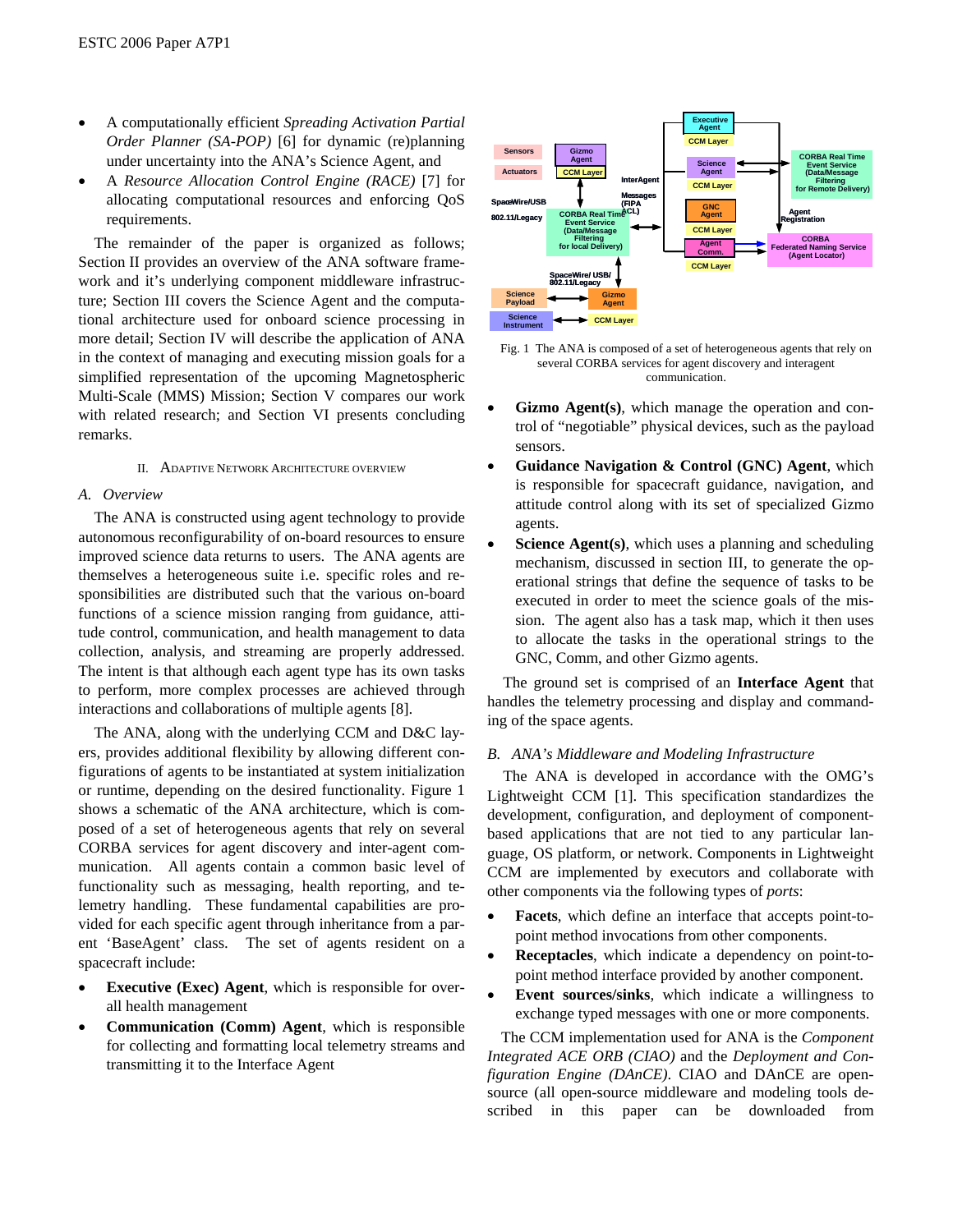- A computationally efficient *Spreading Activation Partial Order Planner (SA-POP)* [6] for dynamic (re)planning under uncertainty into the ANA's Science Agent, and
- A *Resource Allocation Control Engine (RACE)* [7] for allocating computational resources and enforcing QoS requirements.

The remainder of the paper is organized as follows; Section II provides an overview of the ANA software framework and it's underlying component middleware infrastructure; Section III covers the Science Agent and the computational architecture used for onboard science processing in more detail; Section IV will describe the application of ANA in the context of managing and executing mission goals for a simplified representation of the upcoming Magnetospheric Multi-Scale (MMS) Mission; Section V compares our work with related research; and Section VI presents concluding remarks.

# II. ADAPTIVE NETWORK ARCHITECTURE OVERVIEW

# *A. Overview*

The ANA is constructed using agent technology to provide autonomous reconfigurability of on-board resources to ensure improved science data returns to users. The ANA agents are themselves a heterogeneous suite i.e. specific roles and responsibilities are distributed such that the various on-board functions of a science mission ranging from guidance, attitude control, communication, and health management to data collection, analysis, and streaming are properly addressed. The intent is that although each agent type has its own tasks to perform, more complex processes are achieved through interactions and collaborations of multiple agents [8].

The ANA, along with the underlying CCM and D&C layers, provides additional flexibility by allowing different configurations of agents to be instantiated at system initialization or runtime, depending on the desired functionality. Figure 1 shows a schematic of the ANA architecture, which is composed of a set of heterogeneous agents that rely on several CORBA services for agent discovery and inter-agent communication. All agents contain a common basic level of functionality such as messaging, health reporting, and telemetry handling. These fundamental capabilities are provided for each specific agent through inheritance from a parent 'BaseAgent' class. The set of agents resident on a spacecraft include:

- **Executive (Exec) Agent**, which is responsible for overall health management
- **Communication (Comm) Agent**, which is responsible for collecting and formatting local telemetry streams and transmitting it to the Interface Agent



Fig. 1 The ANA is composed of a set of heterogeneous agents that rely on several CORBA services for agent discovery and interagent communication.

- Gizmo Agent(s), which manage the operation and control of "negotiable" physical devices, such as the payload sensors.
- **Guidance Navigation & Control (GNC) Agent**, which is responsible for spacecraft guidance, navigation, and attitude control along with its set of specialized Gizmo agents.
- **Science Agent(s)**, which uses a planning and scheduling mechanism, discussed in section III, to generate the operational strings that define the sequence of tasks to be executed in order to meet the science goals of the mission. The agent also has a task map, which it then uses to allocate the tasks in the operational strings to the GNC, Comm, and other Gizmo agents.

The ground set is comprised of an **Interface Agent** that handles the telemetry processing and display and commanding of the space agents.

### *B. ANA's Middleware and Modeling Infrastructure*

The ANA is developed in accordance with the OMG's Lightweight CCM [1]. This specification standardizes the development, configuration, and deployment of componentbased applications that are not tied to any particular language, OS platform, or network. Components in Lightweight CCM are implemented by executors and collaborate with other components via the following types of *ports*:

- **Facets**, which define an interface that accepts point-topoint method invocations from other components.
- **Receptacles**, which indicate a dependency on point-topoint method interface provided by another component.
- **Event sources/sinks**, which indicate a willingness to exchange typed messages with one or more components.

The CCM implementation used for ANA is the *Component Integrated ACE ORB (CIAO)* and the *Deployment and Configuration Engine (DAnCE)*. CIAO and DAnCE are opensource (all open-source middleware and modeling tools described in this paper can be downloaded from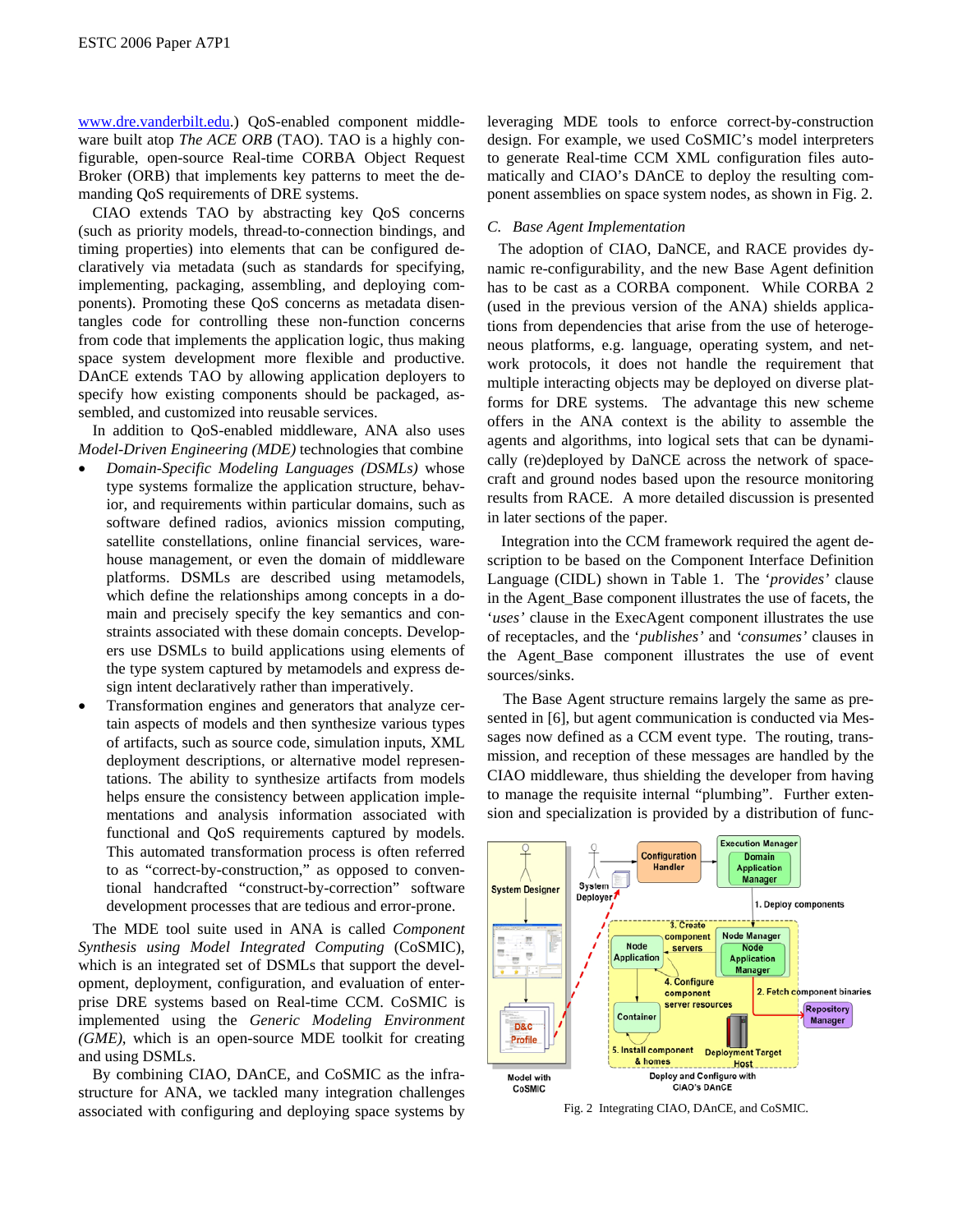www.dre.vanderbilt.edu.) QoS-enabled component middleware built atop *The ACE ORB* (TAO). TAO is a highly configurable, open-source Real-time CORBA Object Request Broker (ORB) that implements key patterns to meet the demanding QoS requirements of DRE systems.

CIAO extends TAO by abstracting key QoS concerns (such as priority models, thread-to-connection bindings, and timing properties) into elements that can be configured declaratively via metadata (such as standards for specifying, implementing, packaging, assembling, and deploying components). Promoting these QoS concerns as metadata disentangles code for controlling these non-function concerns from code that implements the application logic, thus making space system development more flexible and productive. DAnCE extends TAO by allowing application deployers to specify how existing components should be packaged, assembled, and customized into reusable services.

In addition to QoS-enabled middleware, ANA also uses *Model-Driven Engineering (MDE)* technologies that combine

- *Domain-Specific Modeling Languages (DSMLs)* whose type systems formalize the application structure, behavior, and requirements within particular domains, such as software defined radios, avionics mission computing, satellite constellations, online financial services, warehouse management, or even the domain of middleware platforms. DSMLs are described using metamodels, which define the relationships among concepts in a domain and precisely specify the key semantics and constraints associated with these domain concepts. Developers use DSMLs to build applications using elements of the type system captured by metamodels and express design intent declaratively rather than imperatively.
- Transformation engines and generators that analyze certain aspects of models and then synthesize various types of artifacts, such as source code, simulation inputs, XML deployment descriptions, or alternative model representations. The ability to synthesize artifacts from models helps ensure the consistency between application implementations and analysis information associated with functional and QoS requirements captured by models. This automated transformation process is often referred to as "correct-by-construction," as opposed to conventional handcrafted "construct-by-correction" software development processes that are tedious and error-prone.

The MDE tool suite used in ANA is called *Component Synthesis using Model Integrated Computing* (CoSMIC), which is an integrated set of DSMLs that support the development, deployment, configuration, and evaluation of enterprise DRE systems based on Real-time CCM. CoSMIC is implemented using the *Generic Modeling Environment (GME)*, which is an open-source MDE toolkit for creating and using DSMLs.

By combining CIAO, DAnCE, and CoSMIC as the infrastructure for ANA, we tackled many integration challenges associated with configuring and deploying space systems by leveraging MDE tools to enforce correct-by-construction design. For example, we used CoSMIC's model interpreters to generate Real-time CCM XML configuration files automatically and CIAO's DAnCE to deploy the resulting component assemblies on space system nodes, as shown in Fig. 2.

# *C. Base Agent Implementation*

The adoption of CIAO, DaNCE, and RACE provides dynamic re-configurability, and the new Base Agent definition has to be cast as a CORBA component. While CORBA 2 (used in the previous version of the ANA) shields applications from dependencies that arise from the use of heterogeneous platforms, e.g. language, operating system, and network protocols, it does not handle the requirement that multiple interacting objects may be deployed on diverse platforms for DRE systems. The advantage this new scheme offers in the ANA context is the ability to assemble the agents and algorithms, into logical sets that can be dynamically (re)deployed by DaNCE across the network of spacecraft and ground nodes based upon the resource monitoring results from RACE. A more detailed discussion is presented in later sections of the paper.

Integration into the CCM framework required the agent description to be based on the Component Interface Definition Language (CIDL) shown in Table 1. The '*provides'* clause in the Agent\_Base component illustrates the use of facets, the '*uses'* clause in the ExecAgent component illustrates the use of receptacles, and the '*publishes'* and *'consumes'* clauses in the Agent\_Base component illustrates the use of event sources/sinks.

The Base Agent structure remains largely the same as presented in [6], but agent communication is conducted via Messages now defined as a CCM event type. The routing, transmission, and reception of these messages are handled by the CIAO middleware, thus shielding the developer from having to manage the requisite internal "plumbing". Further extension and specialization is provided by a distribution of func-



Fig. 2 Integrating CIAO, DAnCE, and CoSMIC.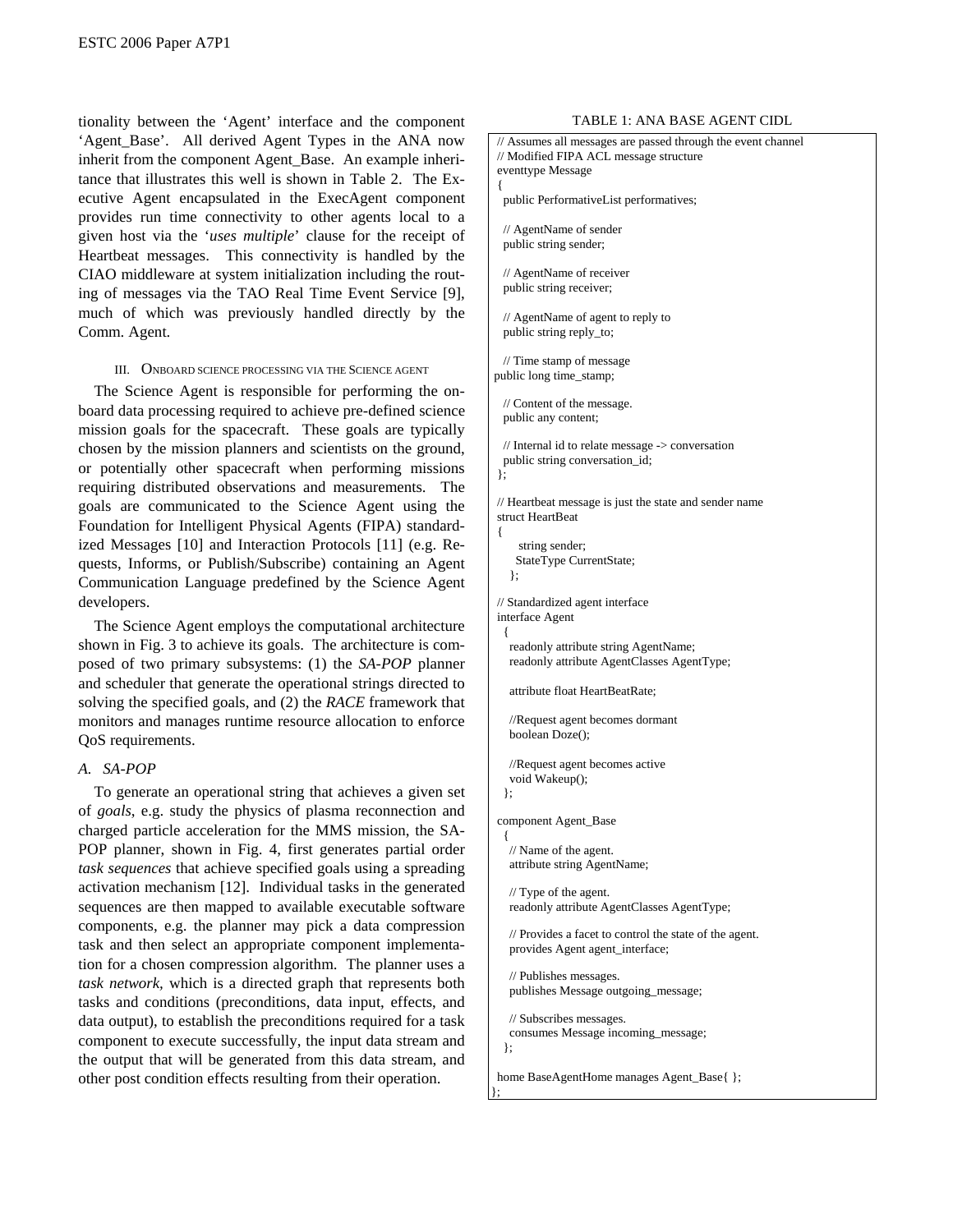tionality between the 'Agent' interface and the component 'Agent\_Base'. All derived Agent Types in the ANA now inherit from the component Agent\_Base. An example inheritance that illustrates this well is shown in Table 2. The Executive Agent encapsulated in the ExecAgent component provides run time connectivity to other agents local to a given host via the '*uses multiple*' clause for the receipt of Heartbeat messages. This connectivity is handled by the CIAO middleware at system initialization including the routing of messages via the TAO Real Time Event Service [9], much of which was previously handled directly by the Comm. Agent.

# III. ONBOARD SCIENCE PROCESSING VIA THE SCIENCE AGENT

The Science Agent is responsible for performing the onboard data processing required to achieve pre-defined science mission goals for the spacecraft. These goals are typically chosen by the mission planners and scientists on the ground, or potentially other spacecraft when performing missions requiring distributed observations and measurements. The goals are communicated to the Science Agent using the Foundation for Intelligent Physical Agents (FIPA) standardized Messages [10] and Interaction Protocols [11] (e.g. Requests, Informs, or Publish/Subscribe) containing an Agent Communication Language predefined by the Science Agent developers.

The Science Agent employs the computational architecture shown in Fig. 3 to achieve its goals. The architecture is composed of two primary subsystems: (1) the *SA-POP* planner and scheduler that generate the operational strings directed to solving the specified goals, and (2) the *RACE* framework that monitors and manages runtime resource allocation to enforce QoS requirements.

# *A. SA-POP*

To generate an operational string that achieves a given set of *goals*, e.g. study the physics of plasma reconnection and charged particle acceleration for the MMS mission, the SA-POP planner, shown in Fig. 4, first generates partial order *task sequences* that achieve specified goals using a spreading activation mechanism [12]. Individual tasks in the generated sequences are then mapped to available executable software components, e.g. the planner may pick a data compression task and then select an appropriate component implementation for a chosen compression algorithm. The planner uses a *task network,* which is a directed graph that represents both tasks and conditions (preconditions, data input, effects, and data output), to establish the preconditions required for a task component to execute successfully, the input data stream and the output that will be generated from this data stream, and other post condition effects resulting from their operation.

#### TABLE 1: ANA BASE AGENT CIDL

```
 // Assumes all messages are passed through the event channel 
  // Modified FIPA ACL message structure 
 eventtype Message 
 { 
   public PerformativeList performatives; 
   // AgentName of sender 
   public string sender; 
   // AgentName of receiver 
   public string receiver; 
   // AgentName of agent to reply to 
   public string reply_to; 
   // Time stamp of message 
 public long time_stamp; 
   // Content of the message. 
   public any content; 
   // Internal id to relate message -> conversation 
   public string conversation_id; 
  }; 
 // Heartbeat message is just the state and sender name 
 struct HeartBeat 
 { 
      string sender; 
     StateType CurrentState; 
    }; 
 // Standardized agent interface 
 interface Agent 
   { 
    readonly attribute string AgentName; 
    readonly attribute AgentClasses AgentType; 
    attribute float HeartBeatRate; 
    //Request agent becomes dormant 
    boolean Doze(); 
    //Request agent becomes active 
    void Wakeup(); 
   }; 
  component Agent_Base 
\{ // Name of the agent. 
    attribute string AgentName; 
    // Type of the agent. 
    readonly attribute AgentClasses AgentType; 
    // Provides a facet to control the state of the agent. 
    provides Agent agent_interface; 
    // Publishes messages. 
    publishes Message outgoing_message; 
    // Subscribes messages. 
    consumes Message incoming_message; 
   }; 
 home BaseAgentHome manages Agent_Base{ }; 
};
```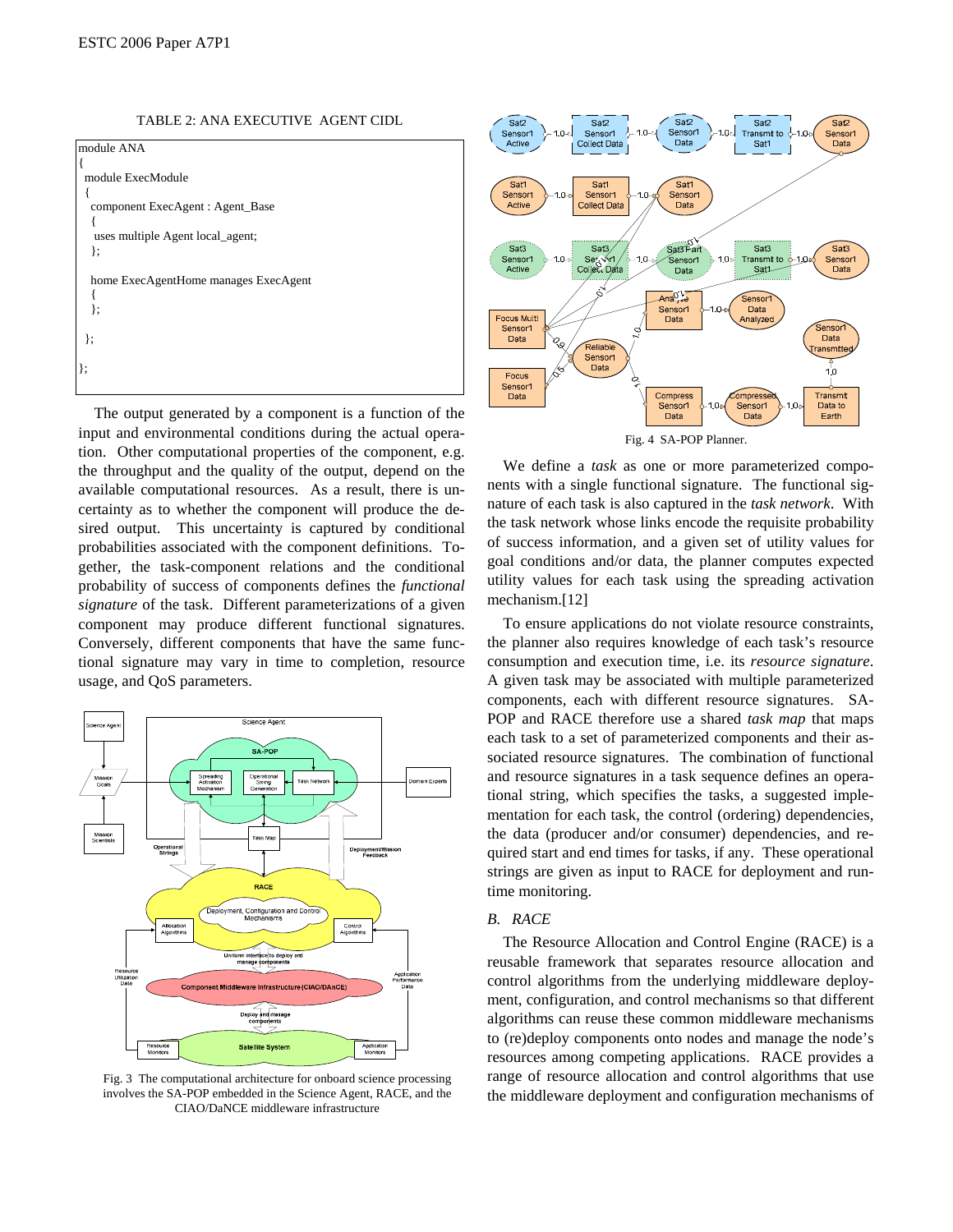ESTC 2006 Paper A7P1

TABLE 2: ANA EXECUTIVE AGENT CIDL



The output generated by a component is a function of the input and environmental conditions during the actual operation. Other computational properties of the component, e.g. the throughput and the quality of the output, depend on the available computational resources. As a result, there is uncertainty as to whether the component will produce the desired output. This uncertainty is captured by conditional probabilities associated with the component definitions. Together, the task-component relations and the conditional probability of success of components defines the *functional signature* of the task. Different parameterizations of a given component may produce different functional signatures. Conversely, different components that have the same functional signature may vary in time to completion, resource usage, and QoS parameters.



Fig. 3 The computational architecture for onboard science processing involves the SA-POP embedded in the Science Agent, RACE, and the CIAO/DaNCE middleware infrastructure



We define a *task* as one or more parameterized components with a single functional signature. The functional signature of each task is also captured in the *task network*. With the task network whose links encode the requisite probability of success information, and a given set of utility values for goal conditions and/or data, the planner computes expected utility values for each task using the spreading activation mechanism.[12]

To ensure applications do not violate resource constraints, the planner also requires knowledge of each task's resource consumption and execution time, i.e. its *resource signature*. A given task may be associated with multiple parameterized components, each with different resource signatures. SA-POP and RACE therefore use a shared *task map* that maps each task to a set of parameterized components and their associated resource signatures. The combination of functional and resource signatures in a task sequence defines an operational string, which specifies the tasks, a suggested implementation for each task, the control (ordering) dependencies, the data (producer and/or consumer) dependencies, and required start and end times for tasks, if any. These operational strings are given as input to RACE for deployment and runtime monitoring.

# *B. RACE*

The Resource Allocation and Control Engine (RACE) is a reusable framework that separates resource allocation and control algorithms from the underlying middleware deployment, configuration, and control mechanisms so that different algorithms can reuse these common middleware mechanisms to (re)deploy components onto nodes and manage the node's resources among competing applications. RACE provides a range of resource allocation and control algorithms that use the middleware deployment and configuration mechanisms of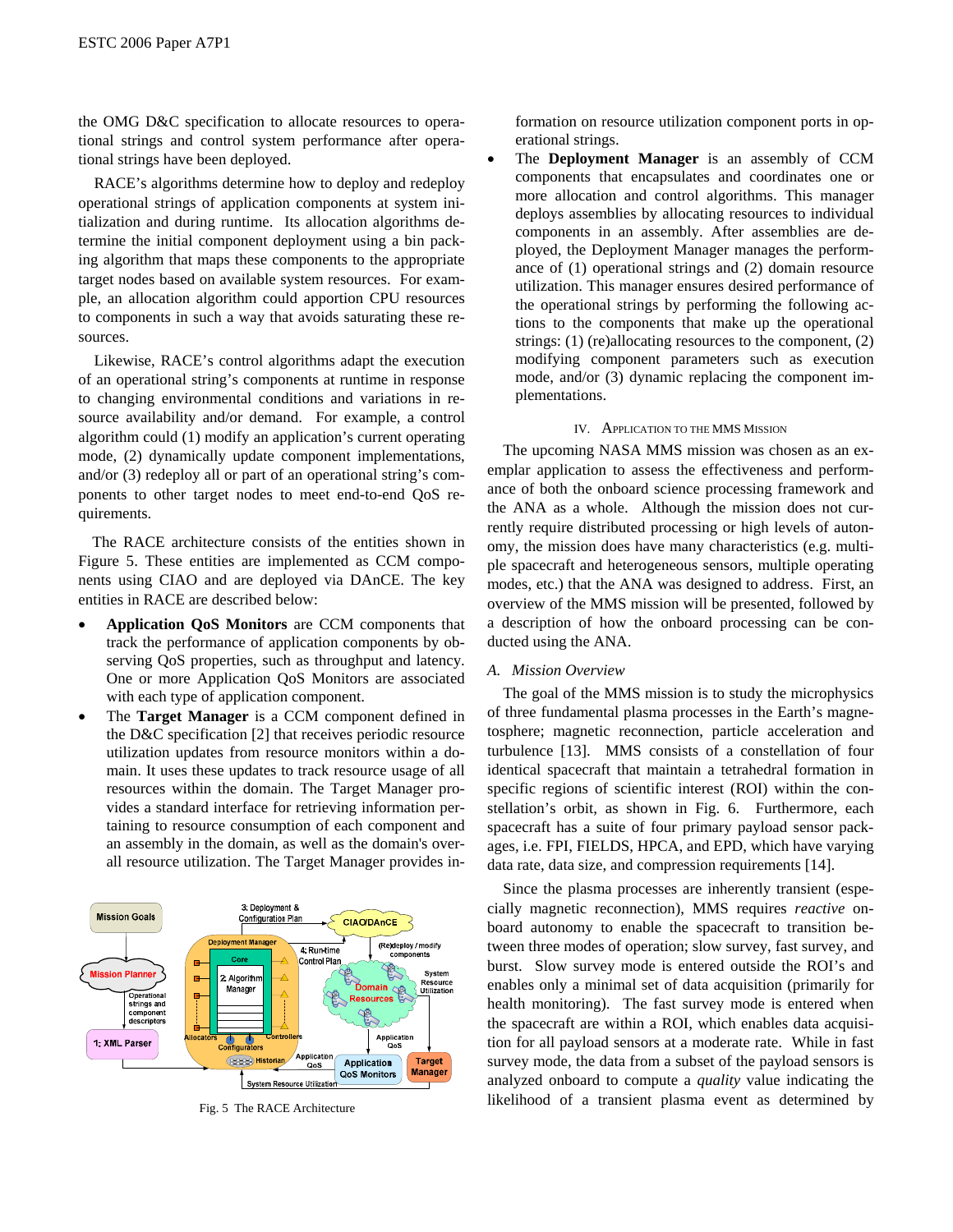the OMG D&C specification to allocate resources to operational strings and control system performance after operational strings have been deployed.

RACE's algorithms determine how to deploy and redeploy operational strings of application components at system initialization and during runtime. Its allocation algorithms determine the initial component deployment using a bin packing algorithm that maps these components to the appropriate target nodes based on available system resources. For example, an allocation algorithm could apportion CPU resources to components in such a way that avoids saturating these resources.

Likewise, RACE's control algorithms adapt the execution of an operational string's components at runtime in response to changing environmental conditions and variations in resource availability and/or demand. For example, a control algorithm could (1) modify an application's current operating mode, (2) dynamically update component implementations, and/or (3) redeploy all or part of an operational string's components to other target nodes to meet end-to-end QoS requirements.

The RACE architecture consists of the entities shown in Figure 5. These entities are implemented as CCM components using CIAO and are deployed via DAnCE. The key entities in RACE are described below:

- **Application QoS Monitors** are CCM components that track the performance of application components by observing QoS properties, such as throughput and latency. One or more Application QoS Monitors are associated with each type of application component.
- The **Target Manager** is a CCM component defined in the D&C specification [2] that receives periodic resource utilization updates from resource monitors within a domain. It uses these updates to track resource usage of all resources within the domain. The Target Manager provides a standard interface for retrieving information pertaining to resource consumption of each component and an assembly in the domain, as well as the domain's overall resource utilization. The Target Manager provides in-



formation on resource utilization component ports in operational strings.

• The **Deployment Manager** is an assembly of CCM components that encapsulates and coordinates one or more allocation and control algorithms. This manager deploys assemblies by allocating resources to individual components in an assembly. After assemblies are deployed, the Deployment Manager manages the performance of (1) operational strings and (2) domain resource utilization. This manager ensures desired performance of the operational strings by performing the following actions to the components that make up the operational strings: (1) (re)allocating resources to the component, (2) modifying component parameters such as execution mode, and/or (3) dynamic replacing the component implementations.

# IV. APPLICATION TO THE MMS MISSION

The upcoming NASA MMS mission was chosen as an exemplar application to assess the effectiveness and performance of both the onboard science processing framework and the ANA as a whole. Although the mission does not currently require distributed processing or high levels of autonomy, the mission does have many characteristics (e.g. multiple spacecraft and heterogeneous sensors, multiple operating modes, etc.) that the ANA was designed to address. First, an overview of the MMS mission will be presented, followed by a description of how the onboard processing can be conducted using the ANA.

# *A. Mission Overview*

The goal of the MMS mission is to study the microphysics of three fundamental plasma processes in the Earth's magnetosphere; magnetic reconnection, particle acceleration and turbulence [13]. MMS consists of a constellation of four identical spacecraft that maintain a tetrahedral formation in specific regions of scientific interest (ROI) within the constellation's orbit, as shown in Fig. 6. Furthermore, each spacecraft has a suite of four primary payload sensor packages, i.e. FPI, FIELDS, HPCA, and EPD, which have varying data rate, data size, and compression requirements [14].

Since the plasma processes are inherently transient (especially magnetic reconnection), MMS requires *reactive* onboard autonomy to enable the spacecraft to transition between three modes of operation; slow survey, fast survey, and burst. Slow survey mode is entered outside the ROI's and enables only a minimal set of data acquisition (primarily for health monitoring). The fast survey mode is entered when the spacecraft are within a ROI, which enables data acquisition for all payload sensors at a moderate rate. While in fast survey mode, the data from a subset of the payload sensors is analyzed onboard to compute a *quality* value indicating the Fig. 5 The RACE Architecture likelihood of a transient plasma event as determined by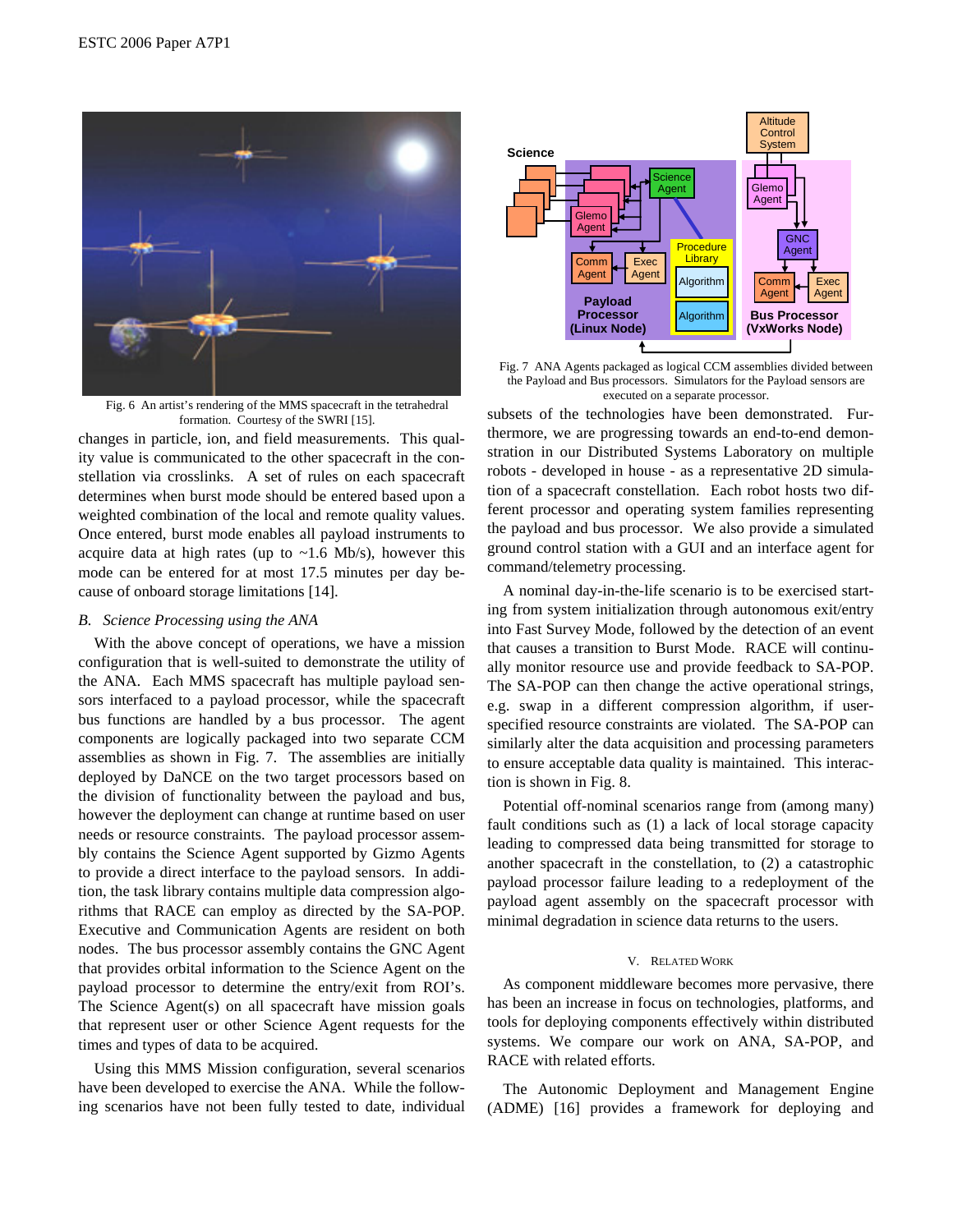

executed on a separate processor.<br>Fig. 6 An artist's rendering of the MMS spacecraft in the tetrahedral formation. Courtesy of the SWRI [15].

changes in particle, ion, and field measurements. This quality value is communicated to the other spacecraft in the constellation via crosslinks. A set of rules on each spacecraft determines when burst mode should be entered based upon a weighted combination of the local and remote quality values. Once entered, burst mode enables all payload instruments to acquire data at high rates (up to  $\sim$ 1.6 Mb/s), however this mode can be entered for at most 17.5 minutes per day because of onboard storage limitations [14].

# *B. Science Processing using the ANA*

With the above concept of operations, we have a mission configuration that is well-suited to demonstrate the utility of the ANA. Each MMS spacecraft has multiple payload sensors interfaced to a payload processor, while the spacecraft bus functions are handled by a bus processor. The agent components are logically packaged into two separate CCM assemblies as shown in Fig. 7. The assemblies are initially deployed by DaNCE on the two target processors based on the division of functionality between the payload and bus, however the deployment can change at runtime based on user needs or resource constraints. The payload processor assembly contains the Science Agent supported by Gizmo Agents to provide a direct interface to the payload sensors. In addition, the task library contains multiple data compression algorithms that RACE can employ as directed by the SA-POP. Executive and Communication Agents are resident on both nodes. The bus processor assembly contains the GNC Agent that provides orbital information to the Science Agent on the payload processor to determine the entry/exit from ROI's. The Science Agent(s) on all spacecraft have mission goals that represent user or other Science Agent requests for the times and types of data to be acquired.

Using this MMS Mission configuration, several scenarios have been developed to exercise the ANA. While the following scenarios have not been fully tested to date, individual



Fig. 7 ANA Agents packaged as logical CCM assemblies divided between the Payload and Bus processors. Simulators for the Payload sensors are

subsets of the technologies have been demonstrated. Furthermore, we are progressing towards an end-to-end demonstration in our Distributed Systems Laboratory on multiple robots - developed in house - as a representative 2D simulation of a spacecraft constellation. Each robot hosts two different processor and operating system families representing the payload and bus processor. We also provide a simulated ground control station with a GUI and an interface agent for command/telemetry processing.

A nominal day-in-the-life scenario is to be exercised starting from system initialization through autonomous exit/entry into Fast Survey Mode, followed by the detection of an event that causes a transition to Burst Mode. RACE will continually monitor resource use and provide feedback to SA-POP. The SA-POP can then change the active operational strings, e.g. swap in a different compression algorithm, if userspecified resource constraints are violated. The SA-POP can similarly alter the data acquisition and processing parameters to ensure acceptable data quality is maintained. This interaction is shown in Fig. 8.

Potential off-nominal scenarios range from (among many) fault conditions such as (1) a lack of local storage capacity leading to compressed data being transmitted for storage to another spacecraft in the constellation, to (2) a catastrophic payload processor failure leading to a redeployment of the payload agent assembly on the spacecraft processor with minimal degradation in science data returns to the users.

#### V. RELATED WORK

As component middleware becomes more pervasive, there has been an increase in focus on technologies, platforms, and tools for deploying components effectively within distributed systems. We compare our work on ANA, SA-POP, and RACE with related efforts.

The Autonomic Deployment and Management Engine (ADME) [16] provides a framework for deploying and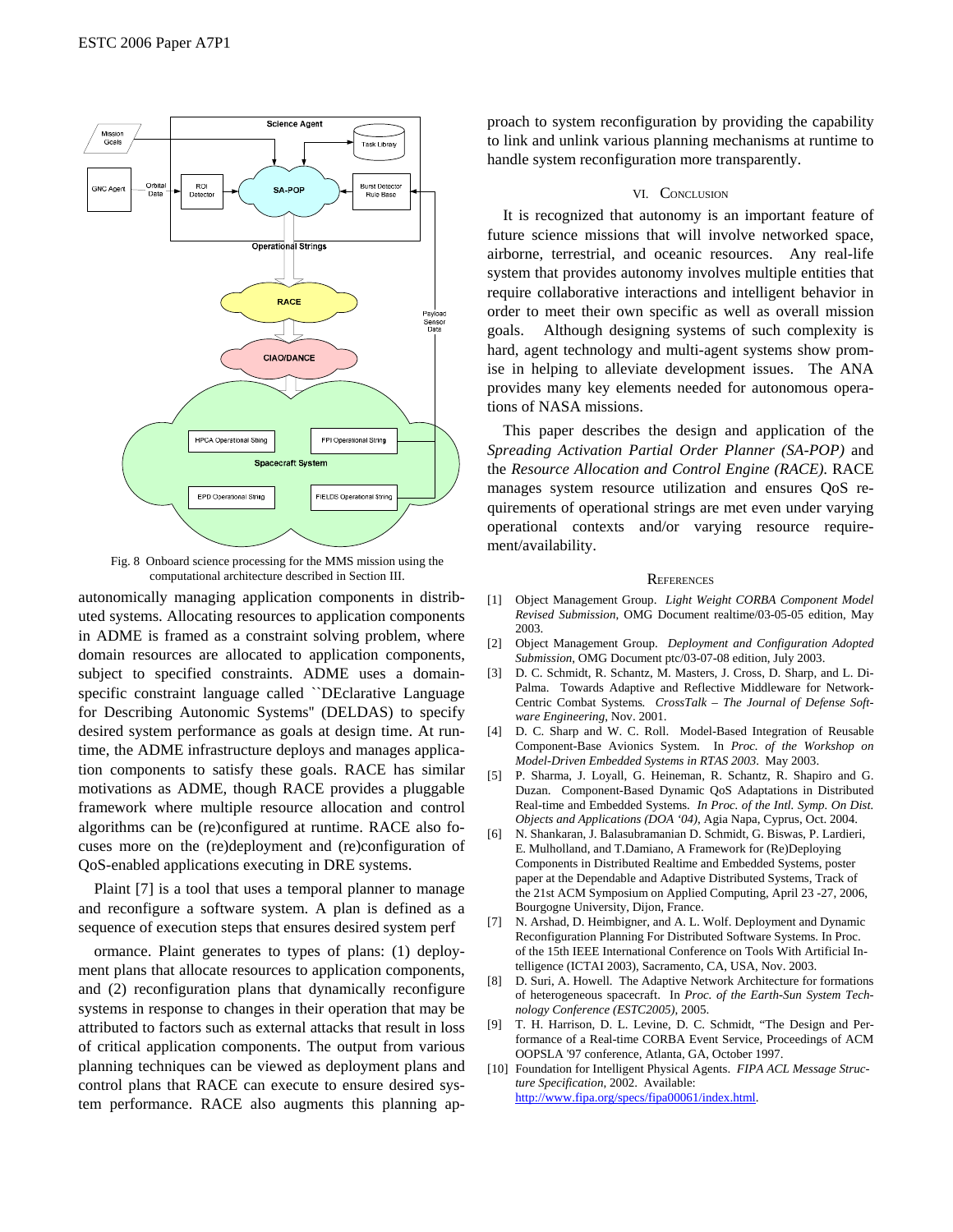

Fig. 8 Onboard science processing for the MMS mission using the computational architecture described in Section III.

autonomically managing application components in distributed systems. Allocating resources to application components in ADME is framed as a constraint solving problem, where domain resources are allocated to application components, subject to specified constraints. ADME uses a domainspecific constraint language called ``DEclarative Language for Describing Autonomic Systems'' (DELDAS) to specify desired system performance as goals at design time. At runtime, the ADME infrastructure deploys and manages application components to satisfy these goals. RACE has similar motivations as ADME, though RACE provides a pluggable framework where multiple resource allocation and control algorithms can be (re)configured at runtime. RACE also focuses more on the (re)deployment and (re)configuration of QoS-enabled applications executing in DRE systems.

Plaint [7] is a tool that uses a temporal planner to manage and reconfigure a software system. A plan is defined as a sequence of execution steps that ensures desired system perf

ormance. Plaint generates to types of plans: (1) deployment plans that allocate resources to application components, and (2) reconfiguration plans that dynamically reconfigure systems in response to changes in their operation that may be attributed to factors such as external attacks that result in loss of critical application components. The output from various planning techniques can be viewed as deployment plans and control plans that RACE can execute to ensure desired system performance. RACE also augments this planning approach to system reconfiguration by providing the capability to link and unlink various planning mechanisms at runtime to handle system reconfiguration more transparently.

# VI. CONCLUSION

It is recognized that autonomy is an important feature of future science missions that will involve networked space, airborne, terrestrial, and oceanic resources. Any real-life system that provides autonomy involves multiple entities that require collaborative interactions and intelligent behavior in order to meet their own specific as well as overall mission goals. Although designing systems of such complexity is hard, agent technology and multi-agent systems show promise in helping to alleviate development issues. The ANA provides many key elements needed for autonomous operations of NASA missions.

This paper describes the design and application of the *Spreading Activation Partial Order Planner (SA-POP)* and the *Resource Allocation and Control Engine (RACE)*. RACE manages system resource utilization and ensures QoS requirements of operational strings are met even under varying operational contexts and/or varying resource requirement/availability.

# **REFERENCES**

- [1] Object Management Group. *Light Weight CORBA Component Model Revised Submission*, OMG Document realtime/03-05-05 edition, May 2003.
- [2] Object Management Group. *Deployment and Configuration Adopted Submission*, OMG Document ptc/03-07-08 edition, July 2003.
- [3] D. C. Schmidt, R. Schantz, M. Masters, J. Cross, D. Sharp, and L. Di-Palma. Towards Adaptive and Reflective Middleware for Network-Centric Combat Systems*. CrossTalk – The Journal of Defense Software Engineering*, Nov. 2001.
- [4] D. C. Sharp and W. C. Roll. Model-Based Integration of Reusable Component-Base Avionics System. In *Proc. of the Workshop on Model-Driven Embedded Systems in RTAS 2003*. May 2003.
- [5] P. Sharma, J. Loyall, G. Heineman, R. Schantz, R. Shapiro and G. Duzan. Component-Based Dynamic QoS Adaptations in Distributed Real-time and Embedded Systems. *In Proc. of the Intl. Symp. On Dist. Objects and Applications (DOA '04)*, Agia Napa, Cyprus, Oct. 2004.
- [6] N. Shankaran, J. Balasubramanian D. Schmidt, G. Biswas, P. Lardieri, E. Mulholland, and T.Damiano, A Framework for (Re)Deploying Components in Distributed Realtime and Embedded Systems, poster paper at the Dependable and Adaptive Distributed Systems, Track of the 21st ACM Symposium on Applied Computing, April 23 -27, 2006, Bourgogne University, Dijon, France.
- [7] N. Arshad, D. Heimbigner, and A. L. Wolf. Deployment and Dynamic Reconfiguration Planning For Distributed Software Systems. In Proc. of the 15th IEEE International Conference on Tools With Artificial Intelligence (ICTAI 2003), Sacramento, CA, USA, Nov. 2003.
- [8] D. Suri, A. Howell. The Adaptive Network Architecture for formations of heterogeneous spacecraft. In *Proc. of the Earth-Sun System Technology Conference (ESTC2005)*, 2005.
- [9] T. H. Harrison, D. L. Levine, D. C. Schmidt, "The Design and Performance of a Real-time CORBA Event Service, Proceedings of ACM OOPSLA '97 conference, Atlanta, GA, October 1997.
- [10] Foundation for Intelligent Physical Agents. *FIPA ACL Message Structure Specification*, 2002. Available: http://www.fipa.org/specs/fipa00061/index.html.